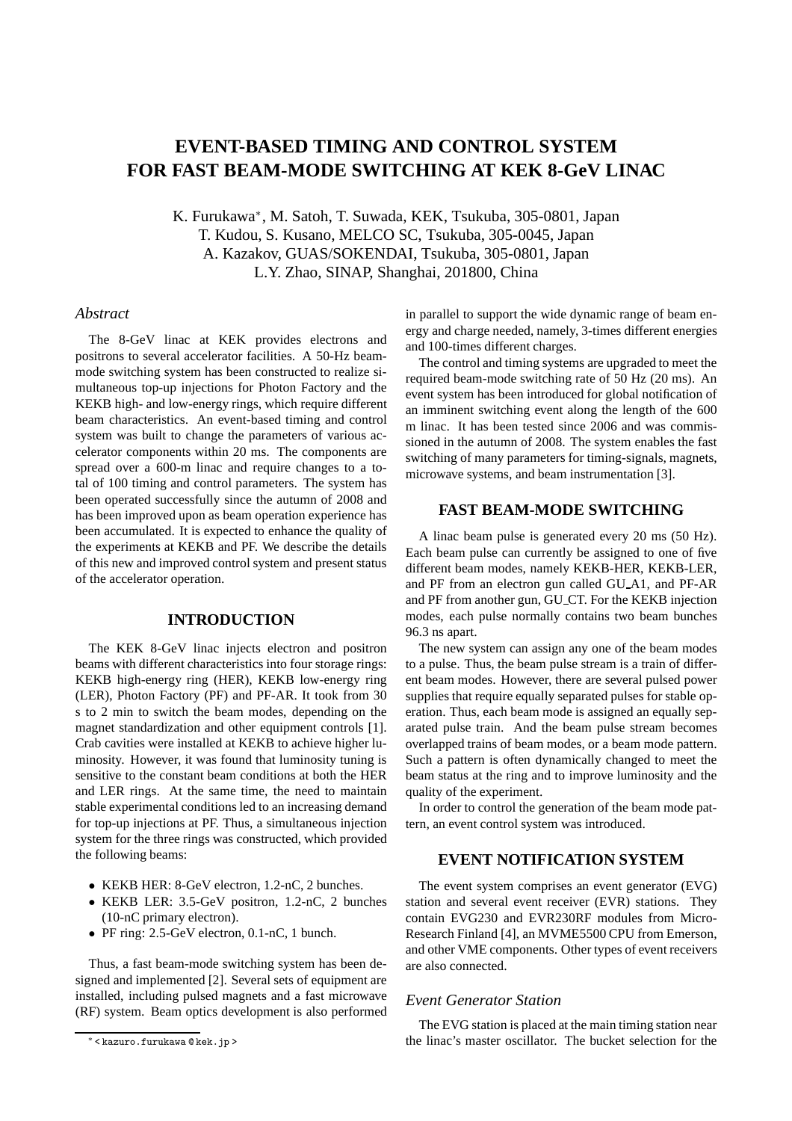# **EVENT-BASED TIMING AND CONTROL SYSTEM FOR FAST BEAM-MODE SWITCHING AT KEK 8-GeV LINAC**

K. Furukawa<sup>∗</sup> , M. Satoh, T. Suwada, KEK, Tsukuba, 305-0801, Japan T. Kudou, S. Kusano, MELCO SC, Tsukuba, 305-0045, Japan A. Kazakov, GUAS/SOKENDAI, Tsukuba, 305-0801, Japan L.Y. Zhao, SINAP, Shanghai, 201800, China

## *Abstract*

The 8-GeV linac at KEK provides electrons and positrons to several accelerator facilities. A 50-Hz beammode switching system has been constructed to realize simultaneous top-up injections for Photon Factory and the KEKB high- and low-energy rings, which require different beam characteristics. An event-based timing and control system was built to change the parameters of various accelerator components within 20 ms. The components are spread over a 600-m linac and require changes to a total of 100 timing and control parameters. The system has been operated successfully since the autumn of 2008 and has been improved upon as beam operation experience has been accumulated. It is expected to enhance the quality of the experiments at KEKB and PF. We describe the details of this new and improved control system and present status of the accelerator operation.

## **INTRODUCTION**

The KEK 8-GeV linac injects electron and positron beams with different characteristics into four storage rings: KEKB high-energy ring (HER), KEKB low-energy ring (LER), Photon Factory (PF) and PF-AR. It took from 30 s to 2 min to switch the beam modes, depending on the magnet standardization and other equipment controls [1]. Crab cavities were installed at KEKB to achieve higher luminosity. However, it was found that luminosity tuning is sensitive to the constant beam conditions at both the HER and LER rings. At the same time, the need to maintain stable experimental conditions led to an increasing demand for top-up injections at PF. Thus, a simultaneous injection system for the three rings was constructed, which provided the following beams:

- KEKB HER: 8-GeV electron, 1.2-nC, 2 bunches.
- KEKB LER: 3.5-GeV positron, 1.2-nC, 2 bunches (10-nC primary electron).
- PF ring: 2.5-GeV electron, 0.1-nC, 1 bunch.

Thus, a fast beam-mode switching system has been designed and implemented [2]. Several sets of equipment are installed, including pulsed magnets and a fast microwave (RF) system. Beam optics development is also performed in parallel to support the wide dynamic range of beam energy and charge needed, namely, 3-times different energies and 100-times different charges.

The control and timing systems are upgraded to meet the required beam-mode switching rate of 50 Hz (20 ms). An event system has been introduced for global notification of an imminent switching event along the length of the 600 m linac. It has been tested since 2006 and was commissioned in the autumn of 2008. The system enables the fast switching of many parameters for timing-signals, magnets, microwave systems, and beam instrumentation [3].

## **FAST BEAM-MODE SWITCHING**

A linac beam pulse is generated every 20 ms (50 Hz). Each beam pulse can currently be assigned to one of five different beam modes, namely KEKB-HER, KEKB-LER, and PF from an electron gun called GU A1, and PF-AR and PF from another gun, GU CT. For the KEKB injection modes, each pulse normally contains two beam bunches 96.3 ns apart.

The new system can assign any one of the beam modes to a pulse. Thus, the beam pulse stream is a train of different beam modes. However, there are several pulsed power supplies that require equally separated pulses for stable operation. Thus, each beam mode is assigned an equally separated pulse train. And the beam pulse stream becomes overlapped trains of beam modes, or a beam mode pattern. Such a pattern is often dynamically changed to meet the beam status at the ring and to improve luminosity and the quality of the experiment.

In order to control the generation of the beam mode pattern, an event control system was introduced.

## **EVENT NOTIFICATION SYSTEM**

The event system comprises an event generator (EVG) station and several event receiver (EVR) stations. They contain EVG230 and EVR230RF modules from Micro-Research Finland [4], an MVME5500 CPU from Emerson, and other VME components. Other types of event receivers are also connected.

#### *Event Generator Station*

The EVG station is placed at the main timing station near the linac's master oscillator. The bucket selection for the

<sup>∗</sup> < kazuro.furukawa @ kek.jp >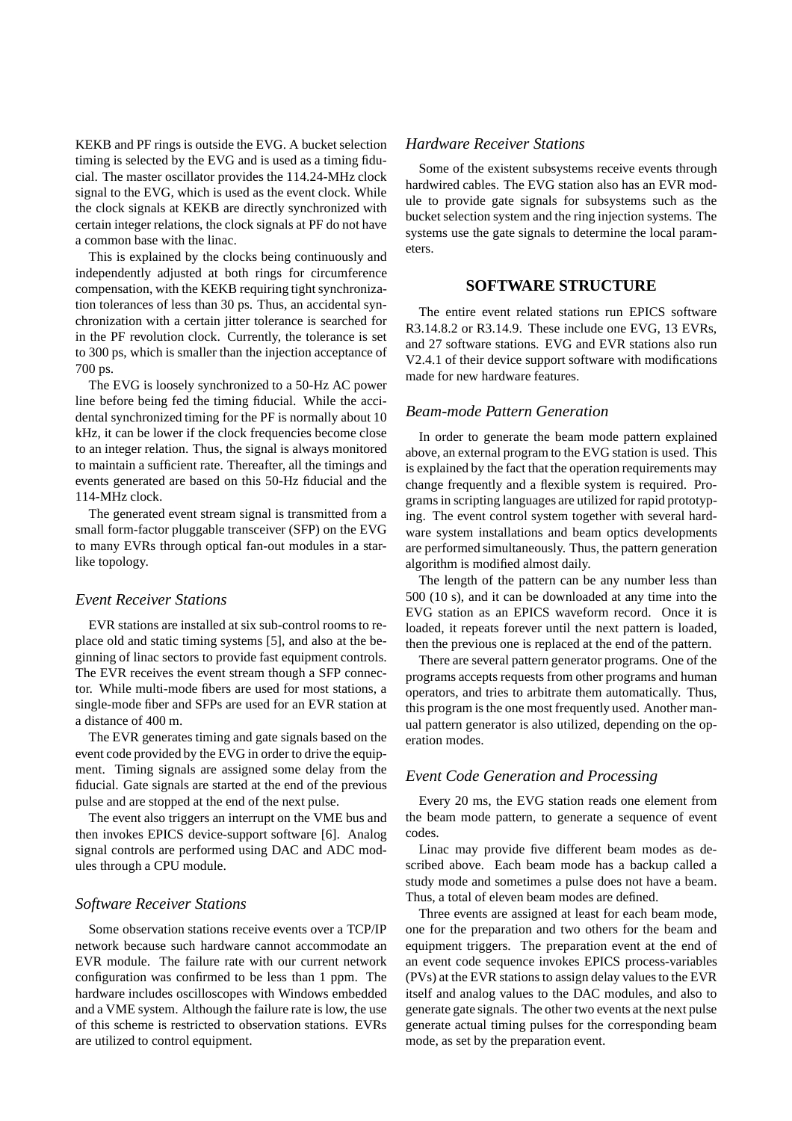KEKB and PF rings is outside the EVG. A bucket selection timing is selected by the EVG and is used as a timing fiducial. The master oscillator provides the 114.24-MHz clock signal to the EVG, which is used as the event clock. While the clock signals at KEKB are directly synchronized with certain integer relations, the clock signals at PF do not have a common base with the linac.

This is explained by the clocks being continuously and independently adjusted at both rings for circumference compensation, with the KEKB requiring tight synchronization tolerances of less than 30 ps. Thus, an accidental synchronization with a certain jitter tolerance is searched for in the PF revolution clock. Currently, the tolerance is set to 300 ps, which is smaller than the injection acceptance of 700 ps.

The EVG is loosely synchronized to a 50-Hz AC power line before being fed the timing fiducial. While the accidental synchronized timing for the PF is normally about 10 kHz, it can be lower if the clock frequencies become close to an integer relation. Thus, the signal is always monitored to maintain a sufficient rate. Thereafter, all the timings and events generated are based on this 50-Hz fiducial and the 114-MHz clock.

The generated event stream signal is transmitted from a small form-factor pluggable transceiver (SFP) on the EVG to many EVRs through optical fan-out modules in a starlike topology.

#### *Event Receiver Stations*

EVR stations are installed at six sub-control rooms to replace old and static timing systems [5], and also at the beginning of linac sectors to provide fast equipment controls. The EVR receives the event stream though a SFP connector. While multi-mode fibers are used for most stations, a single-mode fiber and SFPs are used for an EVR station at a distance of 400 m.

The EVR generates timing and gate signals based on the event code provided by the EVG in order to drive the equipment. Timing signals are assigned some delay from the fiducial. Gate signals are started at the end of the previous pulse and are stopped at the end of the next pulse.

The event also triggers an interrupt on the VME bus and then invokes EPICS device-support software [6]. Analog signal controls are performed using DAC and ADC modules through a CPU module.

#### *Software Receiver Stations*

Some observation stations receive events over a TCP/IP network because such hardware cannot accommodate an EVR module. The failure rate with our current network configuration was confirmed to be less than 1 ppm. The hardware includes oscilloscopes with Windows embedded and a VME system. Although the failure rate is low, the use of this scheme is restricted to observation stations. EVRs are utilized to control equipment.

## *Hardware Receiver Stations*

Some of the existent subsystems receive events through hardwired cables. The EVG station also has an EVR module to provide gate signals for subsystems such as the bucket selection system and the ring injection systems. The systems use the gate signals to determine the local parameters.

#### **SOFTWARE STRUCTURE**

The entire event related stations run EPICS software R3.14.8.2 or R3.14.9. These include one EVG, 13 EVRs, and 27 software stations. EVG and EVR stations also run V2.4.1 of their device support software with modifications made for new hardware features.

## *Beam-mode Pattern Generation*

In order to generate the beam mode pattern explained above, an external program to the EVG station is used. This is explained by the fact that the operation requirements may change frequently and a flexible system is required. Programs in scripting languages are utilized for rapid prototyping. The event control system together with several hardware system installations and beam optics developments are performed simultaneously. Thus, the pattern generation algorithm is modified almost daily.

The length of the pattern can be any number less than 500 (10 s), and it can be downloaded at any time into the EVG station as an EPICS waveform record. Once it is loaded, it repeats forever until the next pattern is loaded, then the previous one is replaced at the end of the pattern.

There are several pattern generator programs. One of the programs accepts requests from other programs and human operators, and tries to arbitrate them automatically. Thus, this program is the one most frequently used. Another manual pattern generator is also utilized, depending on the operation modes.

## *Event Code Generation and Processing*

Every 20 ms, the EVG station reads one element from the beam mode pattern, to generate a sequence of event codes.

Linac may provide five different beam modes as described above. Each beam mode has a backup called a study mode and sometimes a pulse does not have a beam. Thus, a total of eleven beam modes are defined.

Three events are assigned at least for each beam mode, one for the preparation and two others for the beam and equipment triggers. The preparation event at the end of an event code sequence invokes EPICS process-variables (PVs) at the EVR stations to assign delay values to the EVR itself and analog values to the DAC modules, and also to generate gate signals. The other two events at the next pulse generate actual timing pulses for the corresponding beam mode, as set by the preparation event.